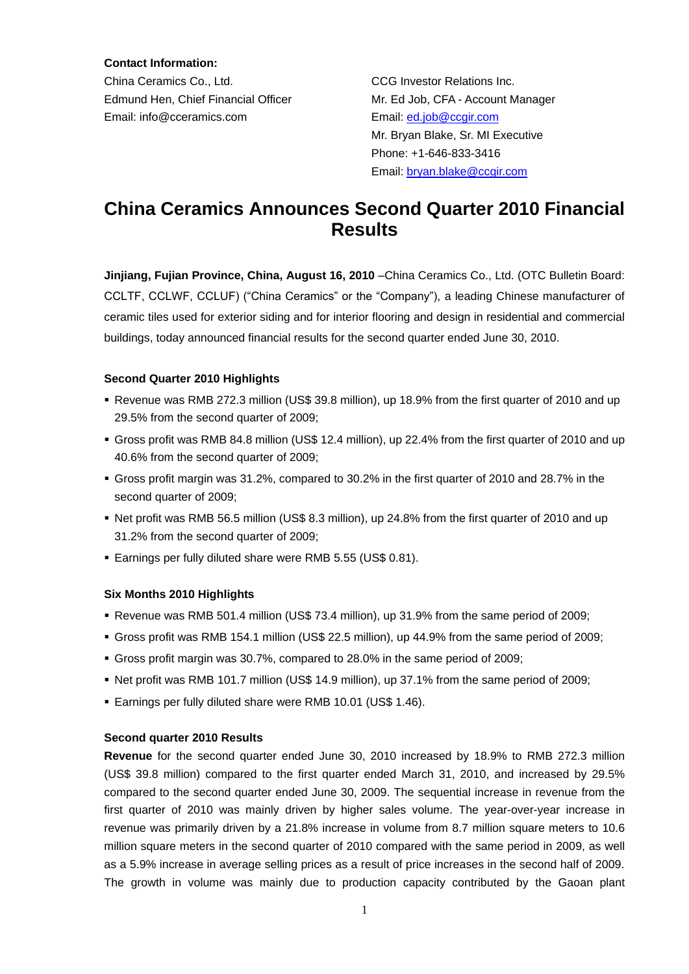**Contact Information:**

China Ceramics Co., Ltd. CCG Investor Relations Inc. Edmund Hen, Chief Financial Officer Mr. Ed Job, CFA - Account Manager Email: info@cceramics.com Email: [ed.job@ccgir.com](mailto:ed.job@ccgir.com)

 Mr. Bryan Blake, Sr. MI Executive Phone: +1-646-833-3416 Email: [bryan.blake@ccgir.com](mailto:bryan.blake@ccgir.com)

# **China Ceramics Announces Second Quarter 2010 Financial Results**

**Jinjiang, Fujian Province, China, August 16, 2010** –China Ceramics Co., Ltd. (OTC Bulletin Board: CCLTF, CCLWF, CCLUF) ("China Ceramics" or the "Company"), a leading Chinese manufacturer of ceramic tiles used for exterior siding and for interior flooring and design in residential and commercial buildings, today announced financial results for the second quarter ended June 30, 2010.

## **Second Quarter 2010 Highlights**

- Revenue was RMB 272.3 million (US\$ 39.8 million), up 18.9% from the first quarter of 2010 and up 29.5% from the second quarter of 2009;
- Gross profit was RMB 84.8 million (US\$ 12.4 million), up 22.4% from the first quarter of 2010 and up 40.6% from the second quarter of 2009;
- Gross profit margin was 31.2%, compared to 30.2% in the first quarter of 2010 and 28.7% in the second quarter of 2009;
- Net profit was RMB 56.5 million (US\$ 8.3 million), up 24.8% from the first quarter of 2010 and up 31.2% from the second quarter of 2009;
- Earnings per fully diluted share were RMB 5.55 (US\$ 0.81).

## **Six Months 2010 Highlights**

- Revenue was RMB 501.4 million (US\$ 73.4 million), up 31.9% from the same period of 2009;
- Gross profit was RMB 154.1 million (US\$ 22.5 million), up 44.9% from the same period of 2009;
- Gross profit margin was 30.7%, compared to 28.0% in the same period of 2009;
- Net profit was RMB 101.7 million (US\$ 14.9 million), up 37.1% from the same period of 2009;
- Earnings per fully diluted share were RMB 10.01 (US\$ 1.46).

### **Second quarter 2010 Results**

**Revenue** for the second quarter ended June 30, 2010 increased by 18.9% to RMB 272.3 million (US\$ 39.8 million) compared to the first quarter ended March 31, 2010, and increased by 29.5% compared to the second quarter ended June 30, 2009. The sequential increase in revenue from the first quarter of 2010 was mainly driven by higher sales volume. The year-over-year increase in revenue was primarily driven by a 21.8% increase in volume from 8.7 million square meters to 10.6 million square meters in the second quarter of 2010 compared with the same period in 2009, as well as a 5.9% increase in average selling prices as a result of price increases in the second half of 2009. The growth in volume was mainly due to production capacity contributed by the Gaoan plant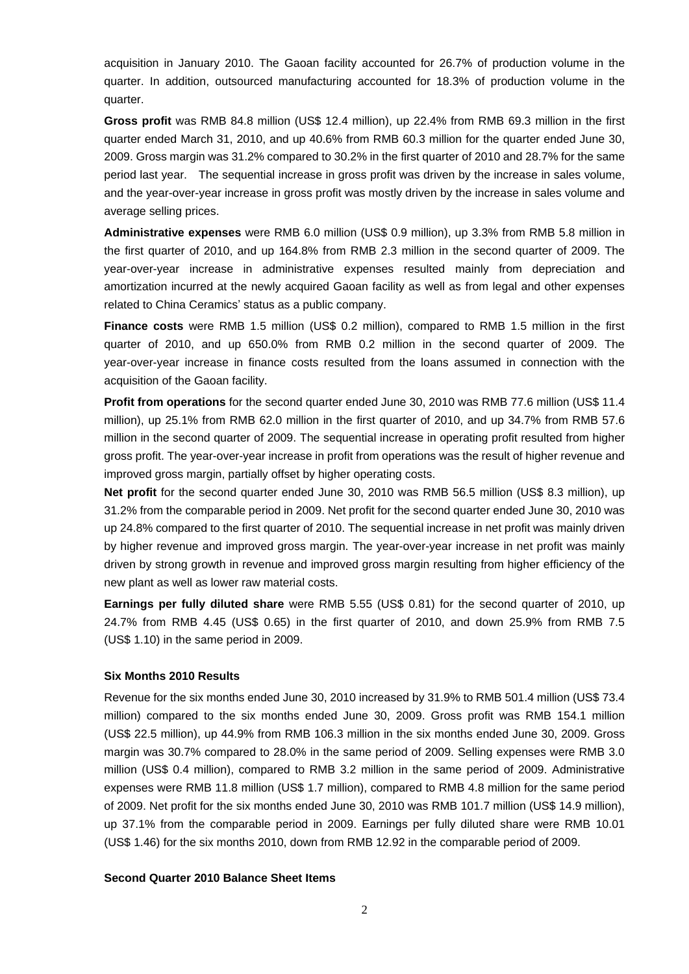acquisition in January 2010. The Gaoan facility accounted for 26.7% of production volume in the quarter. In addition, outsourced manufacturing accounted for 18.3% of production volume in the quarter.

**Gross profit** was RMB 84.8 million (US\$ 12.4 million), up 22.4% from RMB 69.3 million in the first quarter ended March 31, 2010, and up 40.6% from RMB 60.3 million for the quarter ended June 30, 2009. Gross margin was 31.2% compared to 30.2% in the first quarter of 2010 and 28.7% for the same period last year. The sequential increase in gross profit was driven by the increase in sales volume, and the year-over-year increase in gross profit was mostly driven by the increase in sales volume and average selling prices.

**Administrative expenses** were RMB 6.0 million (US\$ 0.9 million), up 3.3% from RMB 5.8 million in the first quarter of 2010, and up 164.8% from RMB 2.3 million in the second quarter of 2009. The year-over-year increase in administrative expenses resulted mainly from depreciation and amortization incurred at the newly acquired Gaoan facility as well as from legal and other expenses related to China Ceramics' status as a public company.

**Finance costs** were RMB 1.5 million (US\$ 0.2 million), compared to RMB 1.5 million in the first quarter of 2010, and up 650.0% from RMB 0.2 million in the second quarter of 2009. The year-over-year increase in finance costs resulted from the loans assumed in connection with the acquisition of the Gaoan facility.

**Profit from operations** for the second quarter ended June 30, 2010 was RMB 77.6 million (US\$ 11.4 million), up 25.1% from RMB 62.0 million in the first quarter of 2010, and up 34.7% from RMB 57.6 million in the second quarter of 2009. The sequential increase in operating profit resulted from higher gross profit. The year-over-year increase in profit from operations was the result of higher revenue and improved gross margin, partially offset by higher operating costs.

**Net profit** for the second quarter ended June 30, 2010 was RMB 56.5 million (US\$ 8.3 million), up 31.2% from the comparable period in 2009. Net profit for the second quarter ended June 30, 2010 was up 24.8% compared to the first quarter of 2010. The sequential increase in net profit was mainly driven by higher revenue and improved gross margin. The year-over-year increase in net profit was mainly driven by strong growth in revenue and improved gross margin resulting from higher efficiency of the new plant as well as lower raw material costs.

**Earnings per fully diluted share** were RMB 5.55 (US\$ 0.81) for the second quarter of 2010, up 24.7% from RMB 4.45 (US\$ 0.65) in the first quarter of 2010, and down 25.9% from RMB 7.5 (US\$ 1.10) in the same period in 2009.

### **Six Months 2010 Results**

Revenue for the six months ended June 30, 2010 increased by 31.9% to RMB 501.4 million (US\$ 73.4 million) compared to the six months ended June 30, 2009. Gross profit was RMB 154.1 million (US\$ 22.5 million), up 44.9% from RMB 106.3 million in the six months ended June 30, 2009. Gross margin was 30.7% compared to 28.0% in the same period of 2009. Selling expenses were RMB 3.0 million (US\$ 0.4 million), compared to RMB 3.2 million in the same period of 2009. Administrative expenses were RMB 11.8 million (US\$ 1.7 million), compared to RMB 4.8 million for the same period of 2009. Net profit for the six months ended June 30, 2010 was RMB 101.7 million (US\$ 14.9 million), up 37.1% from the comparable period in 2009. Earnings per fully diluted share were RMB 10.01 (US\$ 1.46) for the six months 2010, down from RMB 12.92 in the comparable period of 2009.

#### **Second Quarter 2010 Balance Sheet Items**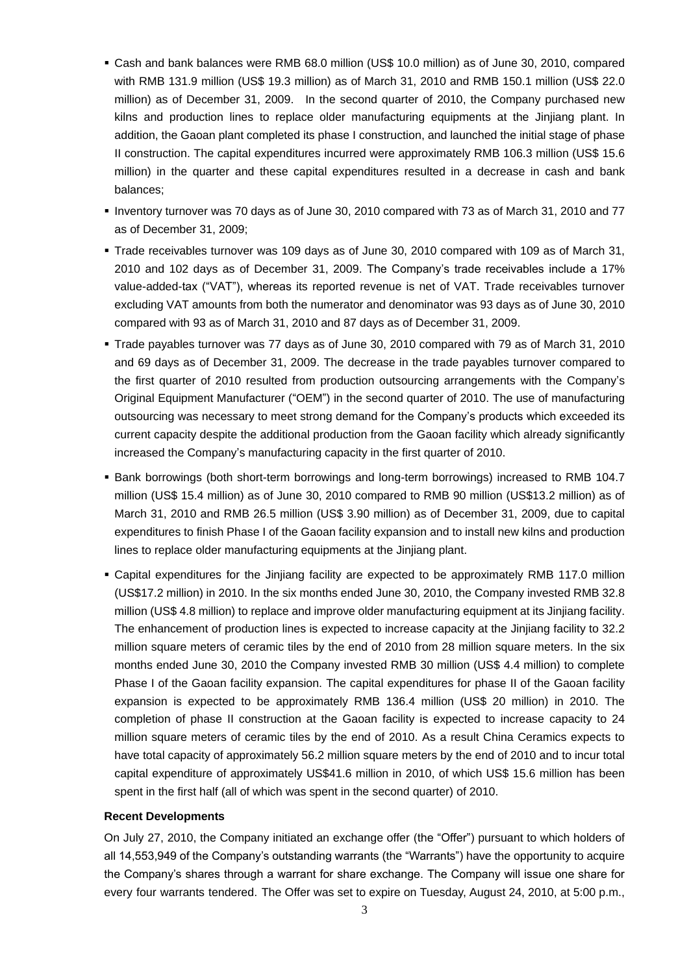- Cash and bank balances were RMB 68.0 million (US\$ 10.0 million) as of June 30, 2010, compared with RMB 131.9 million (US\$ 19.3 million) as of March 31, 2010 and RMB 150.1 million (US\$ 22.0 million) as of December 31, 2009. In the second quarter of 2010, the Company purchased new kilns and production lines to replace older manufacturing equipments at the Jinjiang plant. In addition, the Gaoan plant completed its phase I construction, and launched the initial stage of phase II construction. The capital expenditures incurred were approximately RMB 106.3 million (US\$ 15.6 million) in the quarter and these capital expenditures resulted in a decrease in cash and bank balances;
- Inventory turnover was 70 days as of June 30, 2010 compared with 73 as of March 31, 2010 and 77 as of December 31, 2009;
- Trade receivables turnover was 109 days as of June 30, 2010 compared with 109 as of March 31, 2010 and 102 days as of December 31, 2009. The Company's trade receivables include a 17% value-added-tax ("VAT"), whereas its reported revenue is net of VAT. Trade receivables turnover excluding VAT amounts from both the numerator and denominator was 93 days as of June 30, 2010 compared with 93 as of March 31, 2010 and 87 days as of December 31, 2009.
- Trade payables turnover was 77 days as of June 30, 2010 compared with 79 as of March 31, 2010 and 69 days as of December 31, 2009. The decrease in the trade payables turnover compared to the first quarter of 2010 resulted from production outsourcing arrangements with the Company's Original Equipment Manufacturer ("OEM") in the second quarter of 2010. The use of manufacturing outsourcing was necessary to meet strong demand for the Company's products which exceeded its current capacity despite the additional production from the Gaoan facility which already significantly increased the Company's manufacturing capacity in the first quarter of 2010.
- Bank borrowings (both short-term borrowings and long-term borrowings) increased to RMB 104.7 million (US\$ 15.4 million) as of June 30, 2010 compared to RMB 90 million (US\$13.2 million) as of March 31, 2010 and RMB 26.5 million (US\$ 3.90 million) as of December 31, 2009, due to capital expenditures to finish Phase I of the Gaoan facility expansion and to install new kilns and production lines to replace older manufacturing equipments at the Jinjiang plant.
- Capital expenditures for the Jinjiang facility are expected to be approximately RMB 117.0 million (US\$17.2 million) in 2010. In the six months ended June 30, 2010, the Company invested RMB 32.8 million (US\$ 4.8 million) to replace and improve older manufacturing equipment at its Jinjiang facility. The enhancement of production lines is expected to increase capacity at the Jinjiang facility to 32.2 million square meters of ceramic tiles by the end of 2010 from 28 million square meters. In the six months ended June 30, 2010 the Company invested RMB 30 million (US\$ 4.4 million) to complete Phase I of the Gaoan facility expansion. The capital expenditures for phase II of the Gaoan facility expansion is expected to be approximately RMB 136.4 million (US\$ 20 million) in 2010. The completion of phase II construction at the Gaoan facility is expected to increase capacity to 24 million square meters of ceramic tiles by the end of 2010. As a result China Ceramics expects to have total capacity of approximately 56.2 million square meters by the end of 2010 and to incur total capital expenditure of approximately US\$41.6 million in 2010, of which US\$ 15.6 million has been spent in the first half (all of which was spent in the second quarter) of 2010.

### **Recent Developments**

On July 27, 2010, the Company initiated an exchange offer (the "Offer") pursuant to which holders of all 14,553,949 of the Company's outstanding warrants (the "Warrants") have the opportunity to acquire the Company's shares through a warrant for share exchange. The Company will issue one share for every four warrants tendered. The Offer was set to expire on Tuesday, August 24, 2010, at 5:00 p.m.,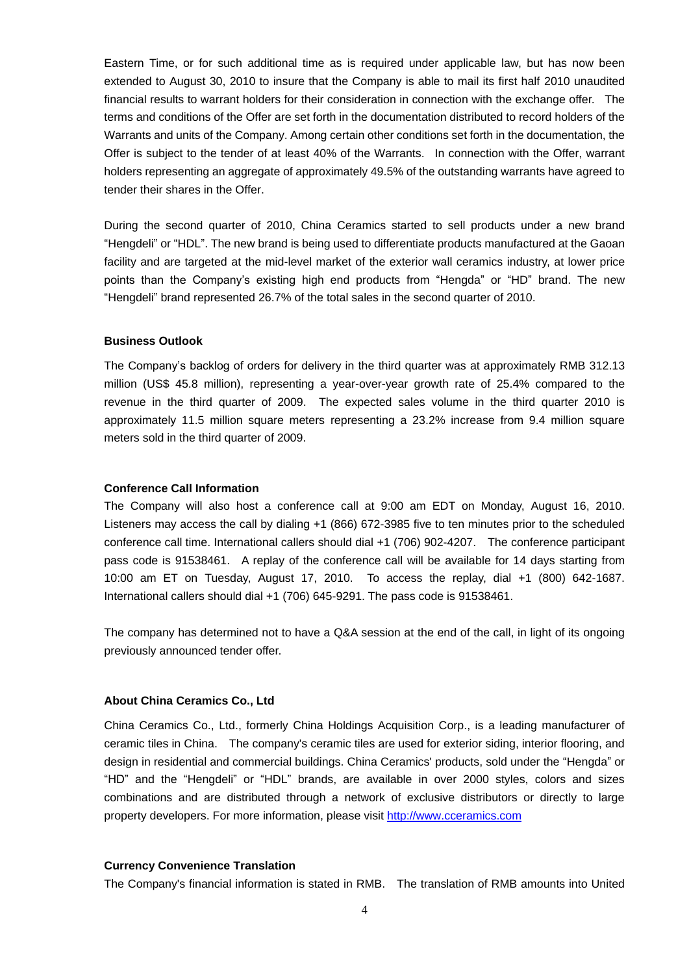Eastern Time, or for such additional time as is required under applicable law, but has now been extended to August 30, 2010 to insure that the Company is able to mail its first half 2010 unaudited financial results to warrant holders for their consideration in connection with the exchange offer. The terms and conditions of the Offer are set forth in the documentation distributed to record holders of the Warrants and units of the Company. Among certain other conditions set forth in the documentation, the Offer is subject to the tender of at least 40% of the Warrants. In connection with the Offer, warrant holders representing an aggregate of approximately 49.5% of the outstanding warrants have agreed to tender their shares in the Offer.

During the second quarter of 2010, China Ceramics started to sell products under a new brand "Hengdeli" or "HDL". The new brand is being used to differentiate products manufactured at the Gaoan facility and are targeted at the mid-level market of the exterior wall ceramics industry, at lower price points than the Company's existing high end products from "Hengda" or "HD" brand. The new "Hengdeli" brand represented 26.7% of the total sales in the second quarter of 2010.

#### **Business Outlook**

The Company's backlog of orders for delivery in the third quarter was at approximately RMB 312.13 million (US\$ 45.8 million), representing a year-over-year growth rate of 25.4% compared to the revenue in the third quarter of 2009. The expected sales volume in the third quarter 2010 is approximately 11.5 million square meters representing a 23.2% increase from 9.4 million square meters sold in the third quarter of 2009.

#### **Conference Call Information**

The Company will also host a conference call at 9:00 am EDT on Monday, August 16, 2010. Listeners may access the call by dialing +1 (866) 672-3985 five to ten minutes prior to the scheduled conference call time. International callers should dial +1 (706) 902-4207. The conference participant pass code is 91538461. A replay of the conference call will be available for 14 days starting from 10:00 am ET on Tuesday, August 17, 2010. To access the replay, dial +1 (800) 642-1687. International callers should dial +1 (706) 645-9291. The pass code is 91538461.

The company has determined not to have a Q&A session at the end of the call, in light of its ongoing previously announced tender offer.

#### **About China Ceramics Co., Ltd**

China Ceramics Co., Ltd., formerly China Holdings Acquisition Corp., is a leading manufacturer of ceramic tiles in China. The company's ceramic tiles are used for exterior siding, interior flooring, and design in residential and commercial buildings. China Ceramics' products, sold under the "Hengda" or "HD" and the "Hengdeli" or "HDL" brands, are available in over 2000 styles, colors and sizes combinations and are distributed through a network of exclusive distributors or directly to large property developers. For more information, please visit [http://www.cceramics.com](http://www.cceramics.com/)

#### **Currency Convenience Translation**

The Company's financial information is stated in RMB. The translation of RMB amounts into United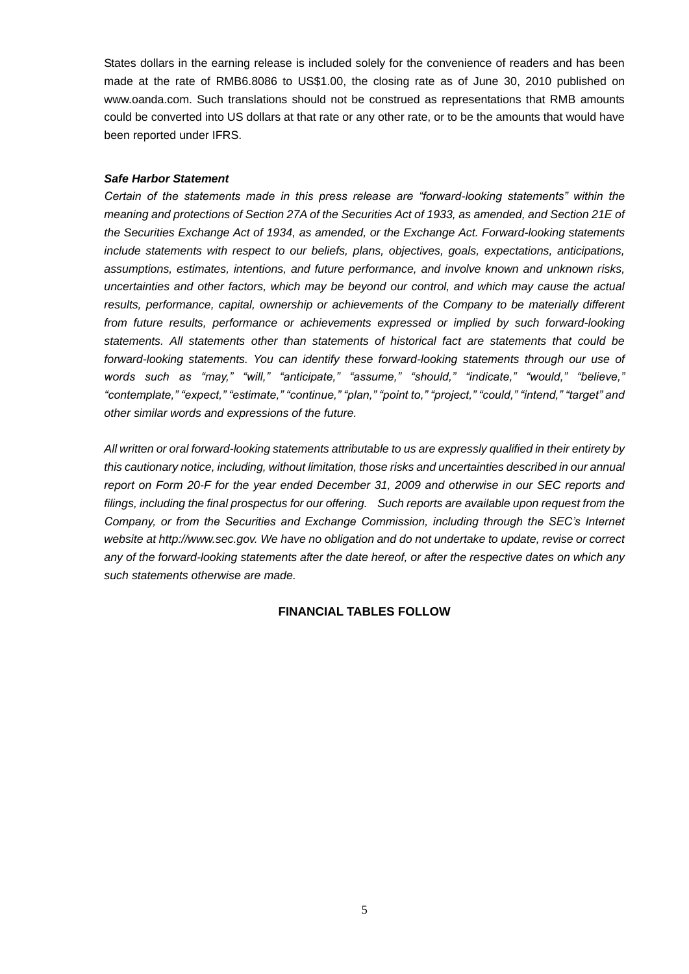States dollars in the earning release is included solely for the convenience of readers and has been made at the rate of RMB6.8086 to US\$1.00, the closing rate as of June 30, 2010 published on www.oanda.com. Such translations should not be construed as representations that RMB amounts could be converted into US dollars at that rate or any other rate, or to be the amounts that would have been reported under IFRS.

#### *Safe Harbor Statement*

*Certain of the statements made in this press release are "forward-looking statements" within the meaning and protections of Section 27A of the Securities Act of 1933, as amended, and Section 21E of the Securities Exchange Act of 1934, as amended, or the Exchange Act. Forward-looking statements include statements with respect to our beliefs, plans, objectives, goals, expectations, anticipations, assumptions, estimates, intentions, and future performance, and involve known and unknown risks, uncertainties and other factors, which may be beyond our control, and which may cause the actual results, performance, capital, ownership or achievements of the Company to be materially different from future results, performance or achievements expressed or implied by such forward-looking statements. All statements other than statements of historical fact are statements that could be forward-looking statements. You can identify these forward-looking statements through our use of words such as "may," "will," "anticipate," "assume," "should," "indicate," "would," "believe," "contemplate," "expect," "estimate," "continue," "plan," "point to," "project," "could," "intend," "target" and other similar words and expressions of the future.* 

*All written or oral forward-looking statements attributable to us are expressly qualified in their entirety by this cautionary notice, including, without limitation, those risks and uncertainties described in our annual report on Form 20-F for the year ended December 31, 2009 and otherwise in our SEC reports and filings, including the final prospectus for our offering. Such reports are available upon request from the Company, or from the Securities and Exchange Commission, including through the SEC's Internet website at http://www.sec.gov. We have no obligation and do not undertake to update, revise or correct any of the forward-looking statements after the date hereof, or after the respective dates on which any such statements otherwise are made.*

### **FINANCIAL TABLES FOLLOW**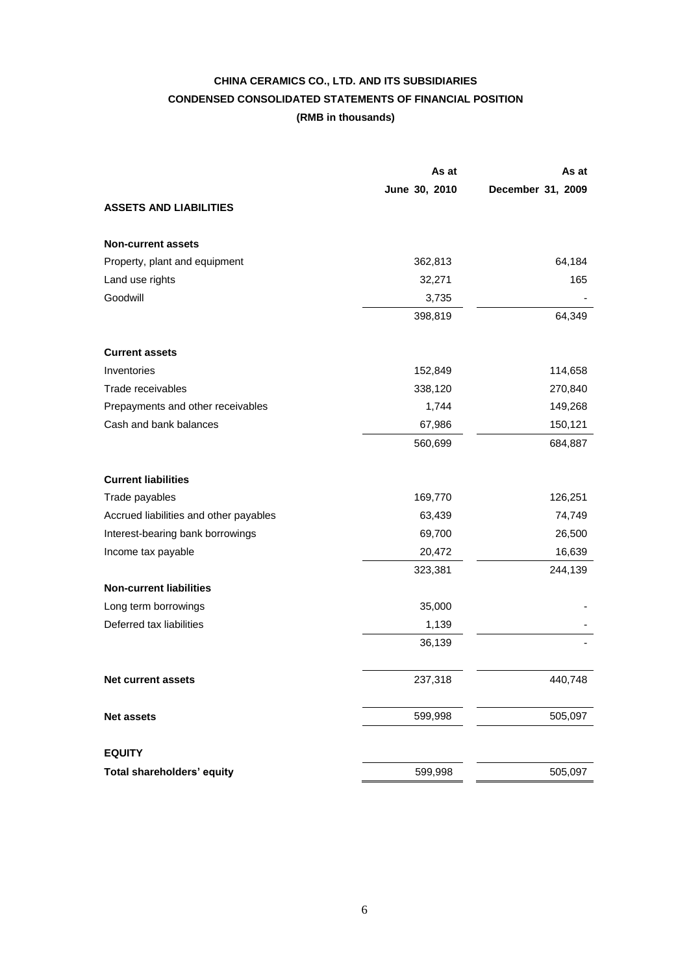## **CHINA CERAMICS CO., LTD. AND ITS SUBSIDIARIES CONDENSED CONSOLIDATED STATEMENTS OF FINANCIAL POSITION (RMB in thousands)**

|                                        | As at         | As at             |
|----------------------------------------|---------------|-------------------|
|                                        | June 30, 2010 | December 31, 2009 |
| <b>ASSETS AND LIABILITIES</b>          |               |                   |
| <b>Non-current assets</b>              |               |                   |
| Property, plant and equipment          | 362,813       | 64,184            |
| Land use rights                        | 32,271        | 165               |
| Goodwill                               | 3,735         |                   |
|                                        | 398,819       | 64,349            |
| <b>Current assets</b>                  |               |                   |
| Inventories                            | 152,849       | 114,658           |
| Trade receivables                      | 338,120       | 270,840           |
| Prepayments and other receivables      | 1,744         | 149,268           |
| Cash and bank balances                 | 67,986        | 150,121           |
|                                        | 560,699       | 684,887           |
| <b>Current liabilities</b>             |               |                   |
| Trade payables                         | 169,770       | 126,251           |
| Accrued liabilities and other payables | 63,439        | 74,749            |
| Interest-bearing bank borrowings       | 69,700        | 26,500            |
| Income tax payable                     | 20,472        | 16,639            |
|                                        | 323,381       | 244,139           |
| <b>Non-current liabilities</b>         |               |                   |
| Long term borrowings                   | 35,000        |                   |
| Deferred tax liabilities               | 1,139         |                   |
|                                        | 36,139        |                   |
| <b>Net current assets</b>              | 237,318       | 440,748           |
| <b>Net assets</b>                      | 599,998       | 505,097           |
| <b>EQUITY</b>                          |               |                   |
| Total shareholders' equity             | 599,998       | 505,097           |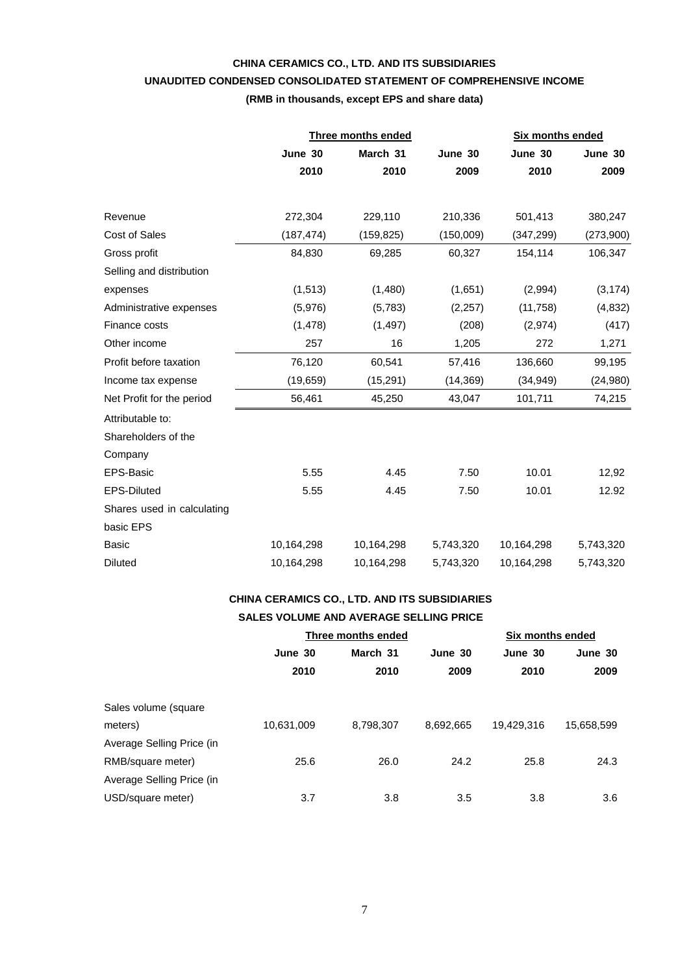## **CHINA CERAMICS CO., LTD. AND ITS SUBSIDIARIES UNAUDITED CONDENSED CONSOLIDATED STATEMENT OF COMPREHENSIVE INCOME**

**(RMB in thousands, except EPS and share data)**

|                            | <b>Three months ended</b> |            |           | <b>Six months ended</b> |           |
|----------------------------|---------------------------|------------|-----------|-------------------------|-----------|
|                            | June 30                   | March 31   | June 30   | June 30                 | June 30   |
|                            | 2010                      | 2010       | 2009      | 2010                    | 2009      |
|                            |                           |            |           |                         |           |
| Revenue                    | 272,304                   | 229,110    | 210,336   | 501,413                 | 380,247   |
| <b>Cost of Sales</b>       | (187, 474)                | (159, 825) | (150,009) | (347, 299)              | (273,900) |
| Gross profit               | 84,830                    | 69,285     | 60,327    | 154,114                 | 106,347   |
| Selling and distribution   |                           |            |           |                         |           |
| expenses                   | (1, 513)                  | (1,480)    | (1,651)   | (2,994)                 | (3, 174)  |
| Administrative expenses    | (5,976)                   | (5,783)    | (2,257)   | (11, 758)               | (4, 832)  |
| Finance costs              | (1, 478)                  | (1, 497)   | (208)     | (2, 974)                | (417)     |
| Other income               | 257                       | 16         | 1,205     | 272                     | 1,271     |
| Profit before taxation     | 76,120                    | 60,541     | 57,416    | 136,660                 | 99,195    |
| Income tax expense         | (19, 659)                 | (15, 291)  | (14, 369) | (34, 949)               | (24, 980) |
| Net Profit for the period  | 56,461                    | 45,250     | 43,047    | 101,711                 | 74,215    |
| Attributable to:           |                           |            |           |                         |           |
| Shareholders of the        |                           |            |           |                         |           |
| Company                    |                           |            |           |                         |           |
| EPS-Basic                  | 5.55                      | 4.45       | 7.50      | 10.01                   | 12,92     |
| <b>EPS-Diluted</b>         | 5.55                      | 4.45       | 7.50      | 10.01                   | 12.92     |
| Shares used in calculating |                           |            |           |                         |           |
| basic EPS                  |                           |            |           |                         |           |
| <b>Basic</b>               | 10,164,298                | 10,164,298 | 5,743,320 | 10,164,298              | 5,743,320 |
| <b>Diluted</b>             | 10,164,298                | 10,164,298 | 5,743,320 | 10,164,298              | 5,743,320 |

## **CHINA CERAMICS CO., LTD. AND ITS SUBSIDIARIES SALES VOLUME AND AVERAGE SELLING PRICE**

|                           | Three months ended |           | Six months ended |            |            |
|---------------------------|--------------------|-----------|------------------|------------|------------|
|                           | June 30            | March 31  | June 30          | June 30    | June 30    |
|                           | 2010               | 2010      | 2009             | 2010       | 2009       |
| Sales volume (square      |                    |           |                  |            |            |
| meters)                   | 10,631,009         | 8,798,307 | 8,692,665        | 19,429,316 | 15,658,599 |
| Average Selling Price (in |                    |           |                  |            |            |
| RMB/square meter)         | 25.6               | 26.0      | 24.2             | 25.8       | 24.3       |
| Average Selling Price (in |                    |           |                  |            |            |
| USD/square meter)         | 3.7                | 3.8       | 3.5              | 3.8        | 3.6        |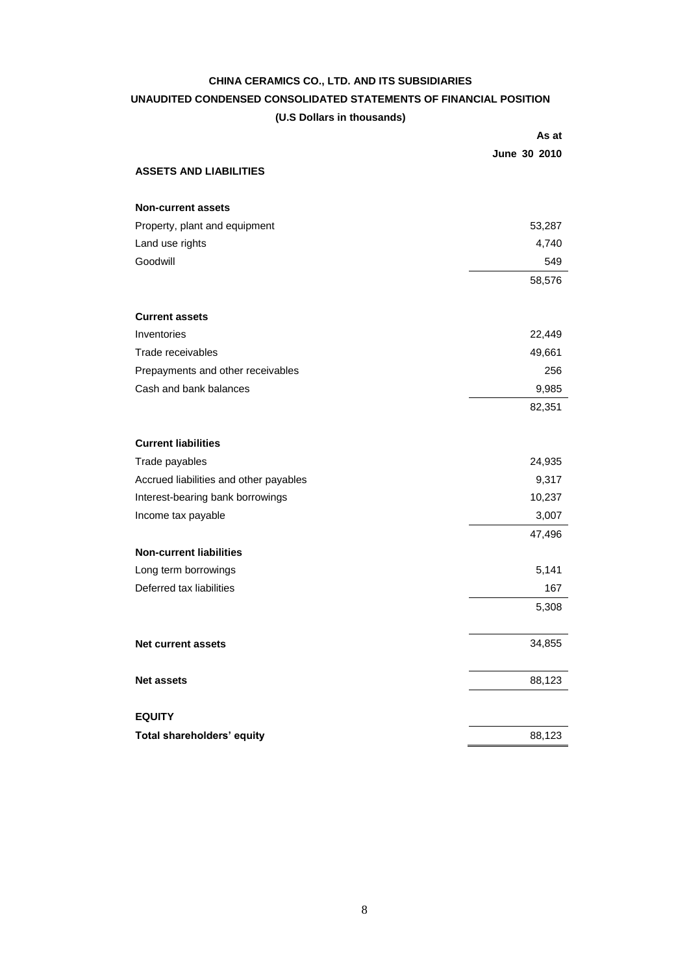## **CHINA CERAMICS CO., LTD. AND ITS SUBSIDIARIES UNAUDITED CONDENSED CONSOLIDATED STATEMENTS OF FINANCIAL POSITION (U.S Dollars in thousands)**

|                                        | As at        |
|----------------------------------------|--------------|
|                                        | June 30 2010 |
| <b>ASSETS AND LIABILITIES</b>          |              |
| <b>Non-current assets</b>              |              |
| Property, plant and equipment          | 53,287       |
| Land use rights                        | 4,740        |
| Goodwill                               | 549          |
|                                        | 58,576       |
| <b>Current assets</b>                  |              |
| Inventories                            | 22,449       |
| Trade receivables                      | 49,661       |
| Prepayments and other receivables      | 256          |
| Cash and bank balances                 | 9,985        |
|                                        | 82,351       |
| <b>Current liabilities</b>             |              |
| Trade payables                         | 24,935       |
| Accrued liabilities and other payables | 9,317        |
| Interest-bearing bank borrowings       | 10,237       |
| Income tax payable                     | 3,007        |
|                                        | 47,496       |
| <b>Non-current liabilities</b>         |              |
| Long term borrowings                   | 5,141        |
| Deferred tax liabilities               | 167          |
|                                        | 5,308        |
| <b>Net current assets</b>              | 34,855       |
| <b>Net assets</b>                      | 88,123       |
| <b>EQUITY</b>                          |              |
| Total shareholders' equity             | 88,123       |